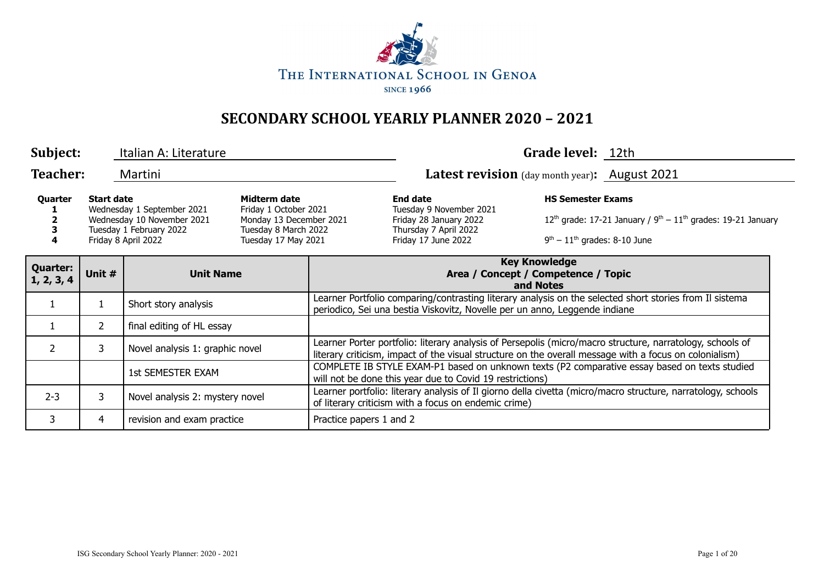

| Subject:                      |                   | Italian A: Literature                                                                                      |                                                                                                                 |                                                                                                                                                                                       |                                                                                                                                                                                                                     | Grade level: 12th                                          |                                                                            |
|-------------------------------|-------------------|------------------------------------------------------------------------------------------------------------|-----------------------------------------------------------------------------------------------------------------|---------------------------------------------------------------------------------------------------------------------------------------------------------------------------------------|---------------------------------------------------------------------------------------------------------------------------------------------------------------------------------------------------------------------|------------------------------------------------------------|----------------------------------------------------------------------------|
| <b>Teacher:</b>               |                   | Martini                                                                                                    |                                                                                                                 |                                                                                                                                                                                       | Latest revision (day month year): August 2021                                                                                                                                                                       |                                                            |                                                                            |
| Quarter<br>4                  | <b>Start date</b> | Wednesday 1 September 2021<br>Wednesday 10 November 2021<br>Tuesday 1 February 2022<br>Friday 8 April 2022 | Midterm date<br>Friday 1 October 2021<br>Monday 13 December 2021<br>Tuesday 8 March 2022<br>Tuesday 17 May 2021 |                                                                                                                                                                                       | <b>End date</b><br>Tuesday 9 November 2021<br>Friday 28 January 2022<br>Thursday 7 April 2022<br>Friday 17 June 2022                                                                                                | <b>HS Semester Exams</b><br>$9th - 11th$ grades: 8-10 June | 12 <sup>th</sup> grade: 17-21 January / $9th - 11th$ grades: 19-21 January |
| <b>Quarter:</b><br>1, 2, 3, 4 | Unit #            | <b>Unit Name</b>                                                                                           |                                                                                                                 |                                                                                                                                                                                       | <b>Key Knowledge</b><br>Area / Concept / Competence / Topic<br>and Notes                                                                                                                                            |                                                            |                                                                            |
| $\mathbf{1}$                  |                   | Short story analysis                                                                                       |                                                                                                                 | Learner Portfolio comparing/contrasting literary analysis on the selected short stories from Il sistema<br>periodico, Sei una bestia Viskovitz, Novelle per un anno, Leggende indiane |                                                                                                                                                                                                                     |                                                            |                                                                            |
| $\mathbf{1}$                  | $\mathcal{L}$     | final editing of HL essay                                                                                  |                                                                                                                 |                                                                                                                                                                                       |                                                                                                                                                                                                                     |                                                            |                                                                            |
| $\overline{2}$                | 3                 | Novel analysis 1: graphic novel                                                                            |                                                                                                                 |                                                                                                                                                                                       | Learner Porter portfolio: literary analysis of Persepolis (micro/macro structure, narratology, schools of<br>literary criticism, impact of the visual structure on the overall message with a focus on colonialism) |                                                            |                                                                            |
|                               |                   | <b>1st SEMESTER EXAM</b>                                                                                   |                                                                                                                 |                                                                                                                                                                                       | COMPLETE IB STYLE EXAM-P1 based on unknown texts (P2 comparative essay based on texts studied<br>will not be done this year due to Covid 19 restrictions)                                                           |                                                            |                                                                            |
| $2 - 3$                       | 3                 | Novel analysis 2: mystery novel                                                                            |                                                                                                                 |                                                                                                                                                                                       | Learner portfolio: literary analysis of Il giorno della civetta (micro/macro structure, narratology, schools<br>of literary criticism with a focus on endemic crime)                                                |                                                            |                                                                            |
| 3                             | 4                 | revision and exam practice                                                                                 |                                                                                                                 | Practice papers 1 and 2                                                                                                                                                               |                                                                                                                                                                                                                     |                                                            |                                                                            |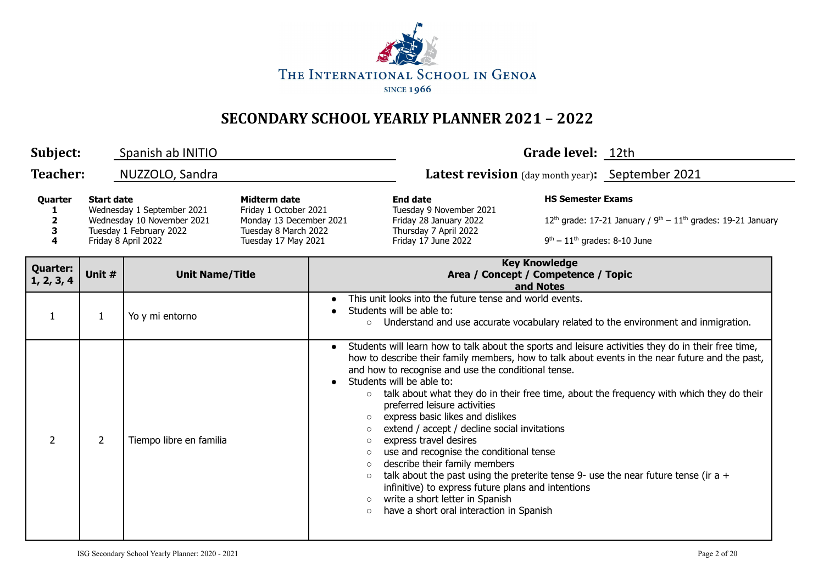

| Subject:                      |                                  | Spanish ab INITIO                                                                                          |                                                                                                                 |                                            |                                                                                                                                                                                                                                                                                                                                                                                                                                                                                                                                         | Grade level: 12th                                          |                                                                                                                                                                                                                                                                                                    |  |  |
|-------------------------------|----------------------------------|------------------------------------------------------------------------------------------------------------|-----------------------------------------------------------------------------------------------------------------|--------------------------------------------|-----------------------------------------------------------------------------------------------------------------------------------------------------------------------------------------------------------------------------------------------------------------------------------------------------------------------------------------------------------------------------------------------------------------------------------------------------------------------------------------------------------------------------------------|------------------------------------------------------------|----------------------------------------------------------------------------------------------------------------------------------------------------------------------------------------------------------------------------------------------------------------------------------------------------|--|--|
| <b>Teacher:</b>               |                                  | NUZZOLO, Sandra                                                                                            |                                                                                                                 |                                            | Latest revision (day month year): September 2021                                                                                                                                                                                                                                                                                                                                                                                                                                                                                        |                                                            |                                                                                                                                                                                                                                                                                                    |  |  |
| Quarter<br>2<br>3<br>4        | <b>Start date</b>                | Wednesday 1 September 2021<br>Wednesday 10 November 2021<br>Tuesday 1 February 2022<br>Friday 8 April 2022 | Midterm date<br>Friday 1 October 2021<br>Monday 13 December 2021<br>Tuesday 8 March 2022<br>Tuesday 17 May 2021 |                                            | <b>End date</b><br>Tuesday 9 November 2021<br>Friday 28 January 2022<br>Thursday 7 April 2022<br>Friday 17 June 2022                                                                                                                                                                                                                                                                                                                                                                                                                    | <b>HS Semester Exams</b><br>$9th - 11th$ grades: 8-10 June | $12th$ grade: 17-21 January / $9th - 11th$ grades: 19-21 January                                                                                                                                                                                                                                   |  |  |
| <b>Quarter:</b><br>1, 2, 3, 4 | Unit #<br><b>Unit Name/Title</b> |                                                                                                            |                                                                                                                 |                                            | <b>Key Knowledge</b><br>Area / Concept / Competence / Topic<br>and Notes                                                                                                                                                                                                                                                                                                                                                                                                                                                                |                                                            |                                                                                                                                                                                                                                                                                                    |  |  |
| 1                             | 1                                | Yo y mi entorno                                                                                            |                                                                                                                 | $\circ$                                    | This unit looks into the future tense and world events.<br>Students will be able to:                                                                                                                                                                                                                                                                                                                                                                                                                                                    |                                                            | Understand and use accurate vocabulary related to the environment and inmigration.                                                                                                                                                                                                                 |  |  |
| $\overline{2}$                | $\overline{2}$                   | Tiempo libre en familia                                                                                    |                                                                                                                 | $\bullet$<br>$\circ$<br>$\circ$<br>$\circ$ | and how to recognise and use the conditional tense.<br>Students will be able to:<br>preferred leisure activities<br>express basic likes and dislikes<br>extend / accept / decline social invitations<br>express travel desires<br>use and recognise the conditional tense<br>describe their family members<br>talk about the past using the preterite tense 9- use the near future tense (ir a $+$<br>infinitive) to express future plans and intentions<br>write a short letter in Spanish<br>have a short oral interaction in Spanish |                                                            | Students will learn how to talk about the sports and leisure activities they do in their free time,<br>how to describe their family members, how to talk about events in the near future and the past,<br>talk about what they do in their free time, about the frequency with which they do their |  |  |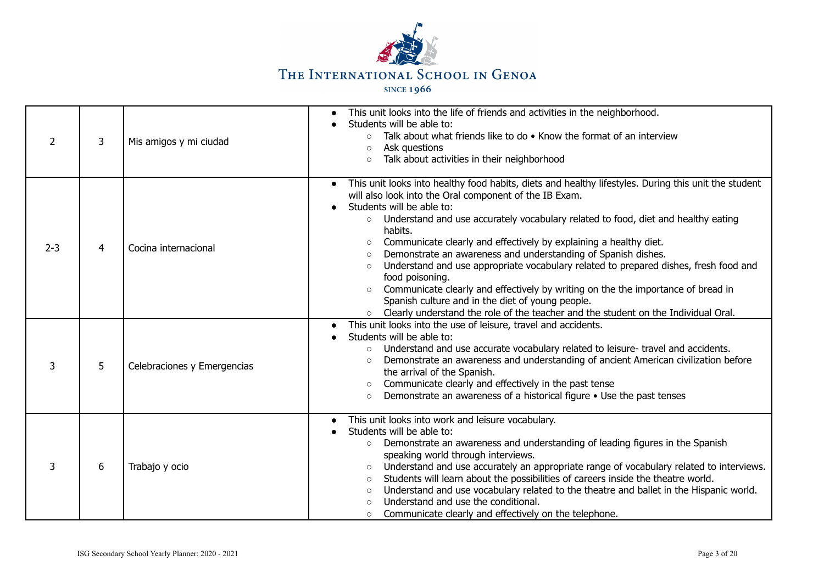

| 2       | 3              | Mis amigos y mi ciudad      | This unit looks into the life of friends and activities in the neighborhood.<br>Students will be able to:<br>Talk about what friends like to do • Know the format of an interview<br>$\circ$<br>Ask questions<br>$\circ$<br>Talk about activities in their neighborhood<br>$\circ$                                                                                                                                                                                                                                                                                                                                                                                                                                                                                                                                                |
|---------|----------------|-----------------------------|-----------------------------------------------------------------------------------------------------------------------------------------------------------------------------------------------------------------------------------------------------------------------------------------------------------------------------------------------------------------------------------------------------------------------------------------------------------------------------------------------------------------------------------------------------------------------------------------------------------------------------------------------------------------------------------------------------------------------------------------------------------------------------------------------------------------------------------|
| $2 - 3$ | $\overline{4}$ | Cocina internacional        | This unit looks into healthy food habits, diets and healthy lifestyles. During this unit the student<br>will also look into the Oral component of the IB Exam.<br>Students will be able to:<br>Understand and use accurately vocabulary related to food, diet and healthy eating<br>$\circ$<br>habits.<br>Communicate clearly and effectively by explaining a healthy diet.<br>$\circ$<br>Demonstrate an awareness and understanding of Spanish dishes.<br>$\circ$<br>Understand and use appropriate vocabulary related to prepared dishes, fresh food and<br>$\circ$<br>food poisoning.<br>Communicate clearly and effectively by writing on the the importance of bread in<br>$\circ$<br>Spanish culture and in the diet of young people.<br>Clearly understand the role of the teacher and the student on the Individual Oral. |
| 3       | 5              | Celebraciones y Emergencias | This unit looks into the use of leisure, travel and accidents.<br>Students will be able to:<br>Understand and use accurate vocabulary related to leisure- travel and accidents.<br>$\circ$<br>Demonstrate an awareness and understanding of ancient American civilization before<br>$\circ$<br>the arrival of the Spanish.<br>Communicate clearly and effectively in the past tense<br>$\circ$<br>Demonstrate an awareness of a historical figure • Use the past tenses<br>$\circ$                                                                                                                                                                                                                                                                                                                                                |
| 3       | 6              | Trabajo y ocio              | This unit looks into work and leisure vocabulary.<br>Students will be able to:<br>Demonstrate an awareness and understanding of leading figures in the Spanish<br>$\circ$<br>speaking world through interviews.<br>Understand and use accurately an appropriate range of vocabulary related to interviews.<br>$\circ$<br>Students will learn about the possibilities of careers inside the theatre world.<br>$\circ$<br>Understand and use vocabulary related to the theatre and ballet in the Hispanic world.<br>$\circ$<br>Understand and use the conditional.<br>Communicate clearly and effectively on the telephone.<br>$\circ$                                                                                                                                                                                              |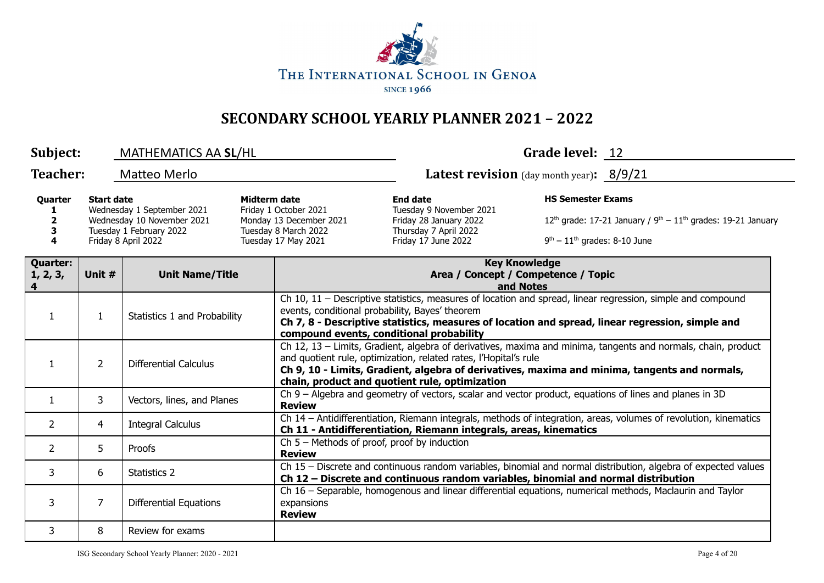

| Subject:<br>MATHEMATICS AA SL/HL                                                                                                                          |                                                                                                                                                                               |                                                                                                                        |                                                                                                                                                                                                                                                                                                                |                                                                                                                                         | Grade level: 12                                                                                                                                                                                                |  |  |
|-----------------------------------------------------------------------------------------------------------------------------------------------------------|-------------------------------------------------------------------------------------------------------------------------------------------------------------------------------|------------------------------------------------------------------------------------------------------------------------|----------------------------------------------------------------------------------------------------------------------------------------------------------------------------------------------------------------------------------------------------------------------------------------------------------------|-----------------------------------------------------------------------------------------------------------------------------------------|----------------------------------------------------------------------------------------------------------------------------------------------------------------------------------------------------------------|--|--|
| <b>Teacher:</b>                                                                                                                                           |                                                                                                                                                                               | <b>Matteo Merlo</b>                                                                                                    |                                                                                                                                                                                                                                                                                                                | Latest revision (day month year): 8/9/21                                                                                                |                                                                                                                                                                                                                |  |  |
| Quarter<br><b>Start date</b><br>Wednesday 1 September 2021<br>Wednesday 10 November 2021<br>2<br>Tuesday 1 February 2022<br>3<br>4<br>Friday 8 April 2022 |                                                                                                                                                                               | <b>Midterm date</b><br>Friday 1 October 2021<br>Monday 13 December 2021<br>Tuesday 8 March 2022<br>Tuesday 17 May 2021 | <b>End date</b><br>Tuesday 9 November 2021<br>Friday 28 January 2022<br>Thursday 7 April 2022<br>Friday 17 June 2022                                                                                                                                                                                           | <b>HS Semester Exams</b><br>$12^{th}$ grade: 17-21 January / $9^{th} - 11^{th}$ grades: 19-21 January<br>$9th - 11th$ grades: 8-10 June |                                                                                                                                                                                                                |  |  |
| <b>Quarter:</b><br>1, 2, 3,                                                                                                                               | Unit #                                                                                                                                                                        | <b>Unit Name/Title</b>                                                                                                 |                                                                                                                                                                                                                                                                                                                |                                                                                                                                         | <b>Key Knowledge</b><br>Area / Concept / Competence / Topic<br>and Notes                                                                                                                                       |  |  |
| $\mathbf{1}$                                                                                                                                              | $\mathbf{1}$                                                                                                                                                                  | Statistics 1 and Probability                                                                                           | Ch 10, 11 – Descriptive statistics, measures of location and spread, linear regression, simple and compound<br>events, conditional probability, Bayes' theorem<br>Ch 7, 8 - Descriptive statistics, measures of location and spread, linear regression, simple and<br>compound events, conditional probability |                                                                                                                                         |                                                                                                                                                                                                                |  |  |
| $\mathbf{1}$                                                                                                                                              | $\overline{2}$                                                                                                                                                                | <b>Differential Calculus</b>                                                                                           |                                                                                                                                                                                                                                                                                                                | and quotient rule, optimization, related rates, l'Hopital's rule<br>chain, product and quotient rule, optimization                      | Ch 12, 13 - Limits, Gradient, algebra of derivatives, maxima and minima, tangents and normals, chain, product<br>Ch 9, 10 - Limits, Gradient, algebra of derivatives, maxima and minima, tangents and normals, |  |  |
| $\mathbf{1}$                                                                                                                                              | 3                                                                                                                                                                             | Vectors, lines, and Planes                                                                                             | <b>Review</b>                                                                                                                                                                                                                                                                                                  |                                                                                                                                         | Ch 9 - Algebra and geometry of vectors, scalar and vector product, equations of lines and planes in 3D                                                                                                         |  |  |
| $\overline{2}$                                                                                                                                            | 4                                                                                                                                                                             | <b>Integral Calculus</b>                                                                                               |                                                                                                                                                                                                                                                                                                                | Ch 11 - Antidifferentiation, Riemann integrals, areas, kinematics                                                                       | Ch 14 - Antidifferentiation, Riemann integrals, methods of integration, areas, volumes of revolution, kinematics                                                                                               |  |  |
| $\overline{2}$                                                                                                                                            | 5                                                                                                                                                                             | Proofs                                                                                                                 | <b>Review</b>                                                                                                                                                                                                                                                                                                  | Ch $5$ – Methods of proof, proof by induction                                                                                           |                                                                                                                                                                                                                |  |  |
| 3                                                                                                                                                         | 6                                                                                                                                                                             | Statistics 2                                                                                                           |                                                                                                                                                                                                                                                                                                                |                                                                                                                                         | Ch 15 - Discrete and continuous random variables, binomial and normal distribution, algebra of expected values<br>Ch 12 - Discrete and continuous random variables, binomial and normal distribution           |  |  |
| 3                                                                                                                                                         | Ch 16 - Separable, homogenous and linear differential equations, numerical methods, Maclaurin and Taylor<br>7<br><b>Differential Equations</b><br>expansions<br><b>Review</b> |                                                                                                                        |                                                                                                                                                                                                                                                                                                                |                                                                                                                                         |                                                                                                                                                                                                                |  |  |
| 3                                                                                                                                                         | 8                                                                                                                                                                             | Review for exams                                                                                                       |                                                                                                                                                                                                                                                                                                                |                                                                                                                                         |                                                                                                                                                                                                                |  |  |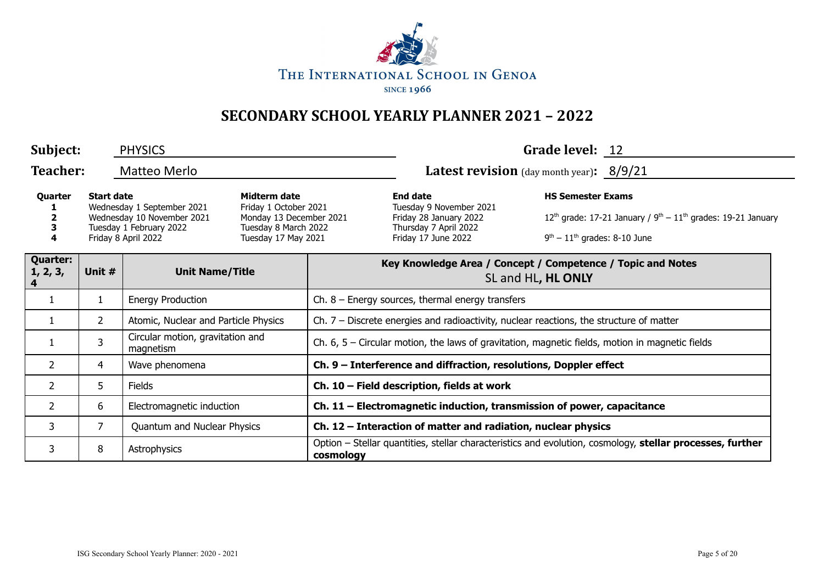

| Subject:                                               | Grade level: 12<br><b>PHYSICS</b>                                                  |                                                                                                            |                                                                                                                 |                                                                                                                                                                                                                                                        |  |  |  |
|--------------------------------------------------------|------------------------------------------------------------------------------------|------------------------------------------------------------------------------------------------------------|-----------------------------------------------------------------------------------------------------------------|--------------------------------------------------------------------------------------------------------------------------------------------------------------------------------------------------------------------------------------------------------|--|--|--|
|                                                        | <b>Teacher:</b><br><b>Latest revision</b> (day month year): 8/9/21<br>Matteo Merlo |                                                                                                            |                                                                                                                 |                                                                                                                                                                                                                                                        |  |  |  |
| Quarter                                                | <b>Start date</b>                                                                  | Wednesday 1 September 2021<br>Wednesday 10 November 2021<br>Tuesday 1 February 2022<br>Friday 8 April 2022 | Midterm date<br>Friday 1 October 2021<br>Monday 13 December 2021<br>Tuesday 8 March 2022<br>Tuesday 17 May 2021 | <b>HS Semester Exams</b><br><b>End date</b><br>Tuesday 9 November 2021<br>$12th$ grade: 17-21 January / $9th - 11th$ grades: 19-21 January<br>Friday 28 January 2022<br>Thursday 7 April 2022<br>$9th - 11th$ grades: 8-10 June<br>Friday 17 June 2022 |  |  |  |
| <b>Quarter:</b><br>1, 2, 3,<br>$\overline{\mathbf{4}}$ | Unit #                                                                             | <b>Unit Name/Title</b>                                                                                     |                                                                                                                 | Key Knowledge Area / Concept / Competence / Topic and Notes<br>SL and HL, HL ONLY                                                                                                                                                                      |  |  |  |
| $\mathbf{1}$                                           | $\mathbf{1}$                                                                       | <b>Energy Production</b>                                                                                   |                                                                                                                 | Ch. $8$ – Energy sources, thermal energy transfers                                                                                                                                                                                                     |  |  |  |
| 1                                                      | $\overline{2}$                                                                     | Atomic, Nuclear and Particle Physics                                                                       |                                                                                                                 | Ch. 7 – Discrete energies and radioactivity, nuclear reactions, the structure of matter                                                                                                                                                                |  |  |  |
|                                                        | 3                                                                                  | Circular motion, gravitation and<br>magnetism                                                              |                                                                                                                 | Ch. $6, 5$ – Circular motion, the laws of gravitation, magnetic fields, motion in magnetic fields                                                                                                                                                      |  |  |  |
| $\overline{2}$                                         | 4                                                                                  | Wave phenomena                                                                                             |                                                                                                                 | Ch. 9 - Interference and diffraction, resolutions, Doppler effect                                                                                                                                                                                      |  |  |  |
| $\overline{2}$                                         | 5.                                                                                 | Fields                                                                                                     |                                                                                                                 | Ch. 10 - Field description, fields at work                                                                                                                                                                                                             |  |  |  |
| 2                                                      | 6                                                                                  | Electromagnetic induction                                                                                  |                                                                                                                 | Ch. $11$ – Electromagnetic induction, transmission of power, capacitance                                                                                                                                                                               |  |  |  |
| 3                                                      | $\overline{7}$                                                                     | Quantum and Nuclear Physics                                                                                |                                                                                                                 | Ch. 12 - Interaction of matter and radiation, nuclear physics                                                                                                                                                                                          |  |  |  |
| 3                                                      | 8                                                                                  | Astrophysics                                                                                               |                                                                                                                 | Option – Stellar quantities, stellar characteristics and evolution, cosmology, stellar processes, further<br>cosmology                                                                                                                                 |  |  |  |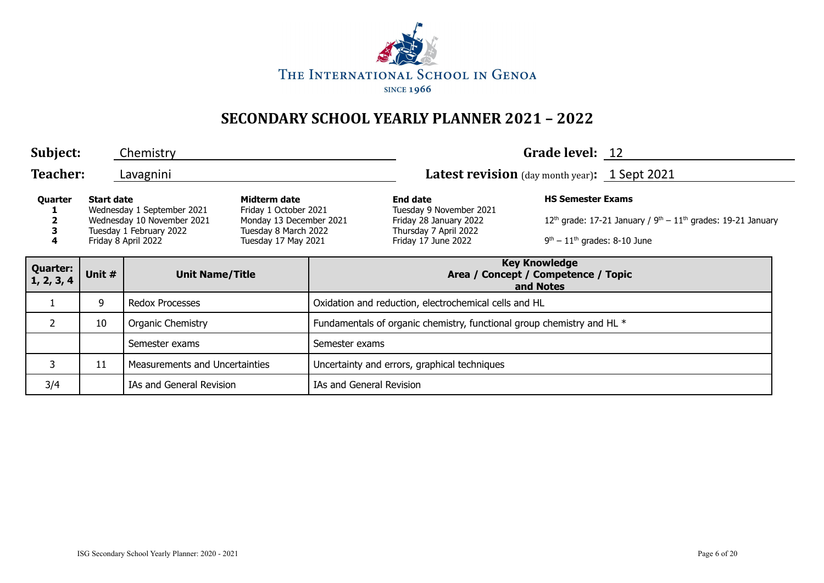

| Subject:                      |                                  | Chemistry                                                                                                  |                                                                                                                 |                                                                          |                                                                                                                      | Grade level: 12                                            |                                                                  |  |
|-------------------------------|----------------------------------|------------------------------------------------------------------------------------------------------------|-----------------------------------------------------------------------------------------------------------------|--------------------------------------------------------------------------|----------------------------------------------------------------------------------------------------------------------|------------------------------------------------------------|------------------------------------------------------------------|--|
| <b>Teacher:</b>               |                                  | Lavagnini                                                                                                  |                                                                                                                 |                                                                          | Latest revision (day month year): 1 Sept 2021                                                                        |                                                            |                                                                  |  |
| Quarter                       | <b>Start date</b>                | Wednesday 1 September 2021<br>Wednesday 10 November 2021<br>Tuesday 1 February 2022<br>Friday 8 April 2022 | Midterm date<br>Friday 1 October 2021<br>Monday 13 December 2021<br>Tuesday 8 March 2022<br>Tuesday 17 May 2021 |                                                                          | <b>End date</b><br>Tuesday 9 November 2021<br>Friday 28 January 2022<br>Thursday 7 April 2022<br>Friday 17 June 2022 | <b>HS Semester Exams</b><br>$9th - 11th$ grades: 8-10 June | $12th$ grade: 17-21 January / $9th - 11th$ grades: 19-21 January |  |
| <b>Quarter:</b><br>1, 2, 3, 4 | Unit #<br><b>Unit Name/Title</b> |                                                                                                            |                                                                                                                 | <b>Key Knowledge</b><br>Area / Concept / Competence / Topic<br>and Notes |                                                                                                                      |                                                            |                                                                  |  |
|                               | 9                                | <b>Redox Processes</b>                                                                                     |                                                                                                                 | Oxidation and reduction, electrochemical cells and HL                    |                                                                                                                      |                                                            |                                                                  |  |
| $\mathbf{2}$                  | 10                               | <b>Organic Chemistry</b>                                                                                   |                                                                                                                 | Fundamentals of organic chemistry, functional group chemistry and HL *   |                                                                                                                      |                                                            |                                                                  |  |
|                               |                                  | Semester exams                                                                                             |                                                                                                                 | Semester exams                                                           |                                                                                                                      |                                                            |                                                                  |  |
| 3                             | 11                               | Measurements and Uncertainties                                                                             |                                                                                                                 | Uncertainty and errors, graphical techniques                             |                                                                                                                      |                                                            |                                                                  |  |
| 3/4                           |                                  | IAs and General Revision                                                                                   |                                                                                                                 | IAs and General Revision                                                 |                                                                                                                      |                                                            |                                                                  |  |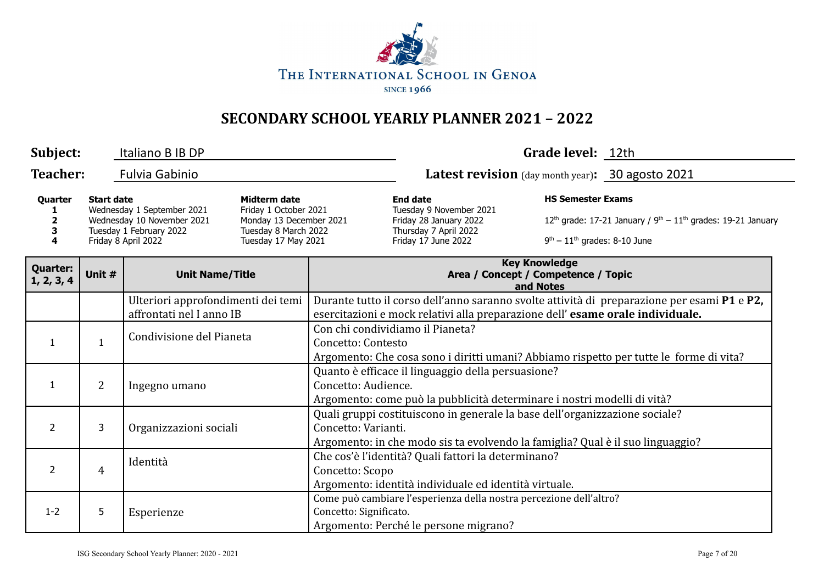

| Subject:                                                                                                                                                                                                                                                                                  |                                  | Italiano B IB DP                                               |                                                  |                                                                                                                                                                                      |                                                                                                                                 | Grade level: 12th                                                         |  |
|-------------------------------------------------------------------------------------------------------------------------------------------------------------------------------------------------------------------------------------------------------------------------------------------|----------------------------------|----------------------------------------------------------------|--------------------------------------------------|--------------------------------------------------------------------------------------------------------------------------------------------------------------------------------------|---------------------------------------------------------------------------------------------------------------------------------|---------------------------------------------------------------------------|--|
| <b>Teacher:</b><br><b>Fulvia Gabinio</b>                                                                                                                                                                                                                                                  |                                  |                                                                | Latest revision (day month year): 30 agosto 2021 |                                                                                                                                                                                      |                                                                                                                                 |                                                                           |  |
| <b>Start date</b><br>Midterm date<br>Quarter<br>Wednesday 1 September 2021<br>Friday 1 October 2021<br>Wednesday 10 November 2021<br>Monday 13 December 2021<br>$\overline{2}$<br>3<br>Tuesday 1 February 2022<br>Tuesday 8 March 2022<br>4<br>Friday 8 April 2022<br>Tuesday 17 May 2021 |                                  |                                                                |                                                  | <b>End date</b><br>Tuesday 9 November 2021<br>Friday 28 January 2022<br>Thursday 7 April 2022<br>Friday 17 June 2022                                                                 | <b>HS Semester Exams</b><br>$9th - 11th$ grades: 8-10 June                                                                      | $12^{th}$ grade: 17-21 January / $9^{th} - 11^{th}$ grades: 19-21 January |  |
| <b>Quarter:</b><br>1, 2, 3, 4                                                                                                                                                                                                                                                             | Unit #<br><b>Unit Name/Title</b> |                                                                |                                                  |                                                                                                                                                                                      |                                                                                                                                 | <b>Key Knowledge</b><br>Area / Concept / Competence / Topic<br>and Notes  |  |
|                                                                                                                                                                                                                                                                                           |                                  | Ulteriori approfondimenti dei temi<br>affrontati nel I anno IB |                                                  | Durante tutto il corso dell'anno saranno svolte attività di preparazione per esami P1 e P2,<br>esercitazioni e mock relativi alla preparazione dell'esame orale individuale.         |                                                                                                                                 |                                                                           |  |
| $\mathbf{1}$                                                                                                                                                                                                                                                                              | $\mathbf{1}$                     | Condivisione del Pianeta                                       |                                                  | Con chi condividiamo il Pianeta?<br>Concetto: Contesto<br>Argomento: Che cosa sono i diritti umani? Abbiamo rispetto per tutte le forme di vita?                                     |                                                                                                                                 |                                                                           |  |
| $\mathbf{1}$                                                                                                                                                                                                                                                                              | $\overline{2}$                   | Ingegno umano                                                  |                                                  | Quanto è efficace il linguaggio della persuasione?<br>Concetto: Audience.<br>Argomento: come può la pubblicità determinare i nostri modelli di vità?                                 |                                                                                                                                 |                                                                           |  |
| 2                                                                                                                                                                                                                                                                                         | 3                                | Organizzazioni sociali                                         |                                                  | Quali gruppi costituiscono in generale la base dell'organizzazione sociale?<br>Concetto: Varianti.<br>Argomento: in che modo sis ta evolvendo la famiglia? Qual è il suo linguaggio? |                                                                                                                                 |                                                                           |  |
| 2                                                                                                                                                                                                                                                                                         | 4                                | Identità                                                       |                                                  |                                                                                                                                                                                      | Che cos'è l'identità? Quali fattori la determinano?<br>Concetto: Scopo<br>Argomento: identità individuale ed identità virtuale. |                                                                           |  |
| $1 - 2$                                                                                                                                                                                                                                                                                   | 5                                | Esperienze                                                     |                                                  | Come può cambiare l'esperienza della nostra percezione dell'altro?<br>Concetto: Significato.<br>Argomento: Perché le persone migrano?                                                |                                                                                                                                 |                                                                           |  |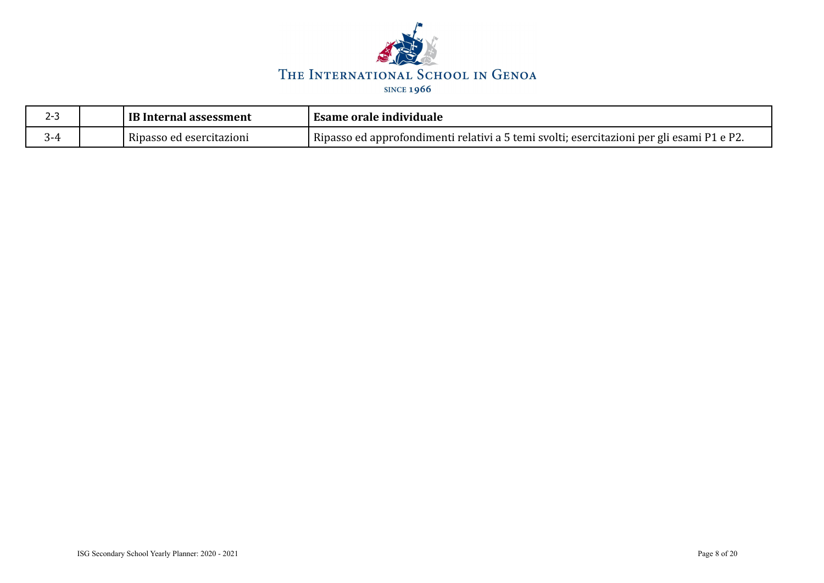

|     | IB Internal assessment     | <b>Esame orale individuale</b>                                                            |
|-----|----------------------------|-------------------------------------------------------------------------------------------|
| ና-4 | - Ripasso ed esercitazioni | Ripasso ed approfondimenti relativi a 5 temi svolti; esercitazioni per gli esami P1 e P2. |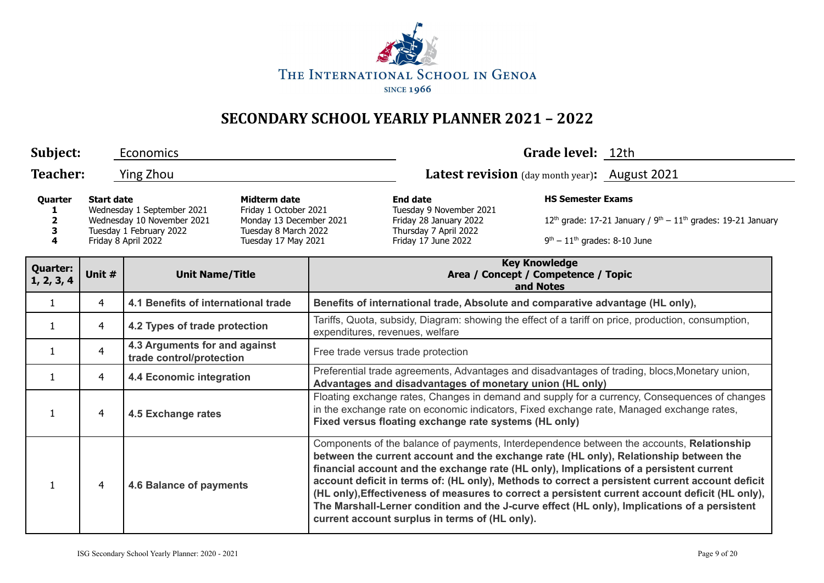

| Subject:<br>Grade level: 12th<br>Economics                                                                                                                                                                                                                                   |                |                                                           |  |                                                                                                                                                            |                                                            |                                                                  |                                                                                                                                                                                                                                                                                                                                                                                                                                                                                                                                                                                     |  |
|------------------------------------------------------------------------------------------------------------------------------------------------------------------------------------------------------------------------------------------------------------------------------|----------------|-----------------------------------------------------------|--|------------------------------------------------------------------------------------------------------------------------------------------------------------|------------------------------------------------------------|------------------------------------------------------------------|-------------------------------------------------------------------------------------------------------------------------------------------------------------------------------------------------------------------------------------------------------------------------------------------------------------------------------------------------------------------------------------------------------------------------------------------------------------------------------------------------------------------------------------------------------------------------------------|--|
| <b>Teacher:</b>                                                                                                                                                                                                                                                              |                | Ying Zhou                                                 |  | Latest revision (day month year): August 2021                                                                                                              |                                                            |                                                                  |                                                                                                                                                                                                                                                                                                                                                                                                                                                                                                                                                                                     |  |
| Midterm date<br><b>Start date</b><br>Quarter<br>Wednesday 1 September 2021<br>Friday 1 October 2021<br>Wednesday 10 November 2021<br>Monday 13 December 2021<br>2<br>Tuesday 1 February 2022<br>Tuesday 8 March 2022<br>3<br>Friday 8 April 2022<br>Tuesday 17 May 2021<br>4 |                |                                                           |  | <b>End date</b><br>Tuesday 9 November 2021<br>Friday 28 January 2022<br>Thursday 7 April 2022<br>Friday 17 June 2022                                       | <b>HS Semester Exams</b><br>$9th - 11th$ grades: 8-10 June | $12th$ grade: 17-21 January / $9th - 11th$ grades: 19-21 January |                                                                                                                                                                                                                                                                                                                                                                                                                                                                                                                                                                                     |  |
| <b>Quarter:</b><br>Unit #<br><b>Unit Name/Title</b><br>1, 2, 3, 4                                                                                                                                                                                                            |                |                                                           |  | <b>Key Knowledge</b><br>Area / Concept / Competence / Topic<br>and Notes                                                                                   |                                                            |                                                                  |                                                                                                                                                                                                                                                                                                                                                                                                                                                                                                                                                                                     |  |
| $\mathbf{1}$                                                                                                                                                                                                                                                                 | 4              | 4.1 Benefits of international trade                       |  | Benefits of international trade, Absolute and comparative advantage (HL only),                                                                             |                                                            |                                                                  |                                                                                                                                                                                                                                                                                                                                                                                                                                                                                                                                                                                     |  |
| 1                                                                                                                                                                                                                                                                            | 4              | 4.2 Types of trade protection                             |  | Tariffs, Quota, subsidy, Diagram: showing the effect of a tariff on price, production, consumption,<br>expenditures, revenues, welfare                     |                                                            |                                                                  |                                                                                                                                                                                                                                                                                                                                                                                                                                                                                                                                                                                     |  |
| $\mathbf{1}$                                                                                                                                                                                                                                                                 | $\overline{4}$ | 4.3 Arguments for and against<br>trade control/protection |  | Free trade versus trade protection                                                                                                                         |                                                            |                                                                  |                                                                                                                                                                                                                                                                                                                                                                                                                                                                                                                                                                                     |  |
| $\mathbf{1}$                                                                                                                                                                                                                                                                 | 4              | <b>4.4 Economic integration</b>                           |  | Preferential trade agreements, Advantages and disadvantages of trading, blocs, Monetary union,<br>Advantages and disadvantages of monetary union (HL only) |                                                            |                                                                  |                                                                                                                                                                                                                                                                                                                                                                                                                                                                                                                                                                                     |  |
| $\mathbf{1}$                                                                                                                                                                                                                                                                 | 4              | 4.5 Exchange rates                                        |  |                                                                                                                                                            | Fixed versus floating exchange rate systems (HL only)      |                                                                  | Floating exchange rates, Changes in demand and supply for a currency, Consequences of changes<br>in the exchange rate on economic indicators, Fixed exchange rate, Managed exchange rates,                                                                                                                                                                                                                                                                                                                                                                                          |  |
| 1                                                                                                                                                                                                                                                                            | 4              | <b>4.6 Balance of payments</b>                            |  |                                                                                                                                                            | current account surplus in terms of (HL only).             |                                                                  | Components of the balance of payments, Interdependence between the accounts, Relationship<br>between the current account and the exchange rate (HL only), Relationship between the<br>financial account and the exchange rate (HL only), Implications of a persistent current<br>account deficit in terms of: (HL only), Methods to correct a persistent current account deficit<br>(HL only), Effectiveness of measures to correct a persistent current account deficit (HL only),<br>The Marshall-Lerner condition and the J-curve effect (HL only), Implications of a persistent |  |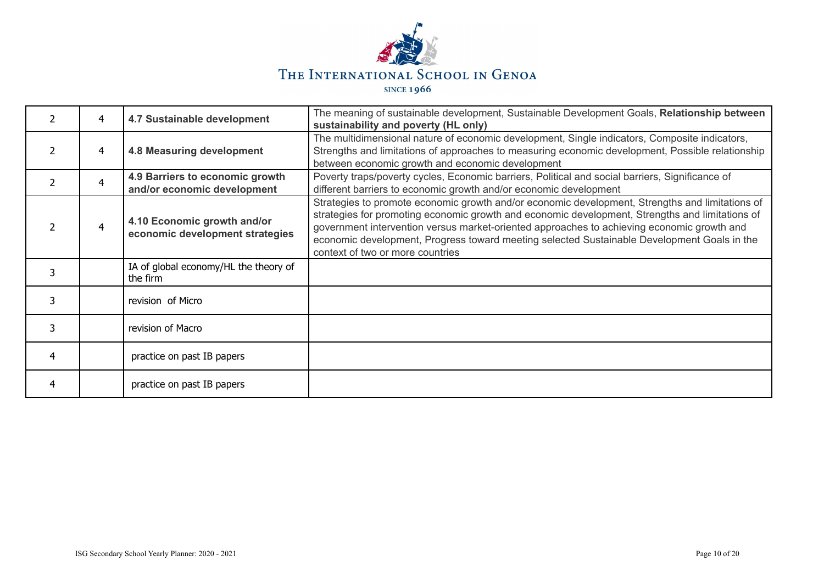

| $\overline{2}$ | 4 | 4.7 Sustainable development                                    | The meaning of sustainable development, Sustainable Development Goals, Relationship between<br>sustainability and poverty (HL only)                                                                                                                                                                                                                                                                                                 |
|----------------|---|----------------------------------------------------------------|-------------------------------------------------------------------------------------------------------------------------------------------------------------------------------------------------------------------------------------------------------------------------------------------------------------------------------------------------------------------------------------------------------------------------------------|
| 2              | 4 | 4.8 Measuring development                                      | The multidimensional nature of economic development, Single indicators, Composite indicators,<br>Strengths and limitations of approaches to measuring economic development, Possible relationship<br>between economic growth and economic development                                                                                                                                                                               |
| $\overline{2}$ | 4 | 4.9 Barriers to economic growth<br>and/or economic development | Poverty traps/poverty cycles, Economic barriers, Political and social barriers, Significance of<br>different barriers to economic growth and/or economic development                                                                                                                                                                                                                                                                |
|                | 4 | 4.10 Economic growth and/or<br>economic development strategies | Strategies to promote economic growth and/or economic development, Strengths and limitations of<br>strategies for promoting economic growth and economic development, Strengths and limitations of<br>government intervention versus market-oriented approaches to achieving economic growth and<br>economic development, Progress toward meeting selected Sustainable Development Goals in the<br>context of two or more countries |
|                |   | IA of global economy/HL the theory of<br>the firm              |                                                                                                                                                                                                                                                                                                                                                                                                                                     |
| 3              |   | revision of Micro                                              |                                                                                                                                                                                                                                                                                                                                                                                                                                     |
| 3              |   | revision of Macro                                              |                                                                                                                                                                                                                                                                                                                                                                                                                                     |
| 4              |   | practice on past IB papers                                     |                                                                                                                                                                                                                                                                                                                                                                                                                                     |
| 4              |   | practice on past IB papers                                     |                                                                                                                                                                                                                                                                                                                                                                                                                                     |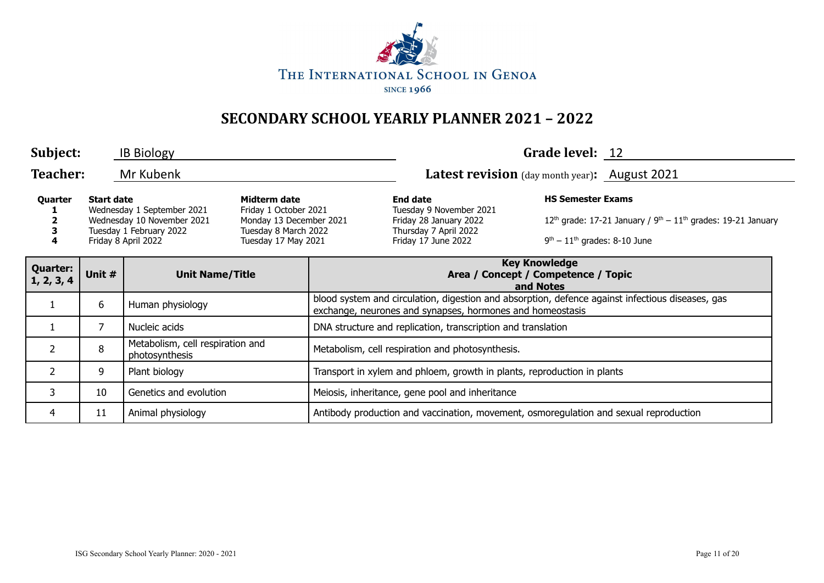

| Subject:                      |                                                                                                                                                                                                                                                    | <b>IB Biology</b>                                  |  |                                                                                                                                                                                    |                                                                                       | Grade level: 12                                                  |  |
|-------------------------------|----------------------------------------------------------------------------------------------------------------------------------------------------------------------------------------------------------------------------------------------------|----------------------------------------------------|--|------------------------------------------------------------------------------------------------------------------------------------------------------------------------------------|---------------------------------------------------------------------------------------|------------------------------------------------------------------|--|
| <b>Teacher:</b>               |                                                                                                                                                                                                                                                    | Mr Kubenk                                          |  |                                                                                                                                                                                    | Latest revision (day month year): August 2021                                         |                                                                  |  |
| Quarter<br>4                  | Midterm date<br><b>Start date</b><br>Wednesday 1 September 2021<br>Friday 1 October 2021<br>Wednesday 10 November 2021<br>Monday 13 December 2021<br>Tuesday 1 February 2022<br>Tuesday 8 March 2022<br>Tuesday 17 May 2021<br>Friday 8 April 2022 |                                                    |  | <b>End date</b><br><b>HS Semester Exams</b><br>Tuesday 9 November 2021<br>Friday 28 January 2022<br>Thursday 7 April 2022<br>$9th - 11th$ grades: 8-10 June<br>Friday 17 June 2022 |                                                                                       | $12th$ grade: 17-21 January / $9th - 11th$ grades: 19-21 January |  |
| <b>Quarter:</b><br>1, 2, 3, 4 | Unit #                                                                                                                                                                                                                                             | <b>Unit Name/Title</b>                             |  | <b>Key Knowledge</b><br>Area / Concept / Competence / Topic<br>and Notes                                                                                                           |                                                                                       |                                                                  |  |
|                               | 6                                                                                                                                                                                                                                                  | Human physiology                                   |  | blood system and circulation, digestion and absorption, defence against infectious diseases, gas<br>exchange, neurones and synapses, hormones and homeostasis                      |                                                                                       |                                                                  |  |
|                               | 7                                                                                                                                                                                                                                                  | Nucleic acids                                      |  | DNA structure and replication, transcription and translation                                                                                                                       |                                                                                       |                                                                  |  |
| $\overline{2}$                | 8                                                                                                                                                                                                                                                  | Metabolism, cell respiration and<br>photosynthesis |  | Metabolism, cell respiration and photosynthesis.                                                                                                                                   |                                                                                       |                                                                  |  |
| $\overline{2}$                | 9                                                                                                                                                                                                                                                  | Plant biology                                      |  | Transport in xylem and phloem, growth in plants, reproduction in plants                                                                                                            |                                                                                       |                                                                  |  |
| 3                             | 10                                                                                                                                                                                                                                                 | Genetics and evolution                             |  |                                                                                                                                                                                    | Meiosis, inheritance, gene pool and inheritance                                       |                                                                  |  |
| 4                             | 11                                                                                                                                                                                                                                                 | Animal physiology                                  |  |                                                                                                                                                                                    | Antibody production and vaccination, movement, osmoregulation and sexual reproduction |                                                                  |  |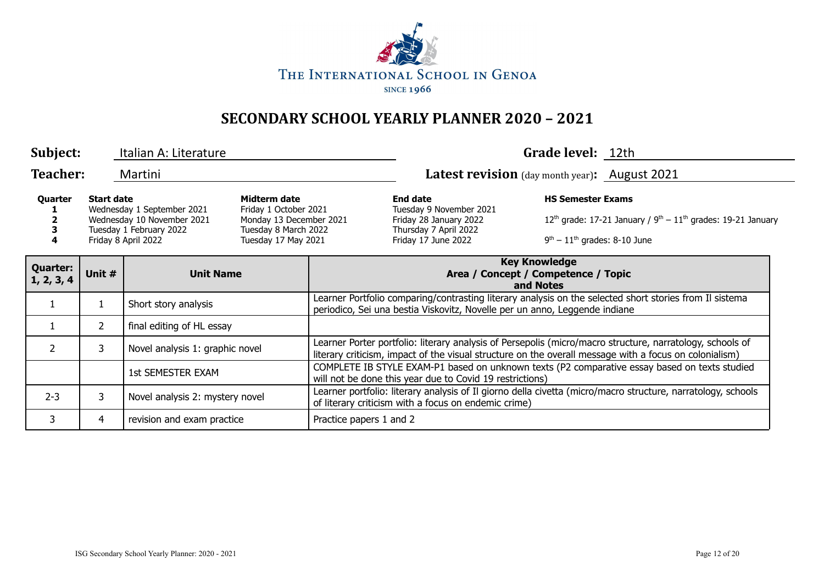

| Subject:                      |                   | Italian A: Literature                                                                                      |                                                                                                                 |                                                                                                                                                                                       |                                                                                                                                                                                                                     | Grade level: 12th                                          |                                                                            |
|-------------------------------|-------------------|------------------------------------------------------------------------------------------------------------|-----------------------------------------------------------------------------------------------------------------|---------------------------------------------------------------------------------------------------------------------------------------------------------------------------------------|---------------------------------------------------------------------------------------------------------------------------------------------------------------------------------------------------------------------|------------------------------------------------------------|----------------------------------------------------------------------------|
| <b>Teacher:</b>               |                   | Martini                                                                                                    |                                                                                                                 |                                                                                                                                                                                       | Latest revision (day month year): August 2021                                                                                                                                                                       |                                                            |                                                                            |
| Quarter<br>4                  | <b>Start date</b> | Wednesday 1 September 2021<br>Wednesday 10 November 2021<br>Tuesday 1 February 2022<br>Friday 8 April 2022 | Midterm date<br>Friday 1 October 2021<br>Monday 13 December 2021<br>Tuesday 8 March 2022<br>Tuesday 17 May 2021 |                                                                                                                                                                                       | <b>End date</b><br>Tuesday 9 November 2021<br>Friday 28 January 2022<br>Thursday 7 April 2022<br>Friday 17 June 2022                                                                                                | <b>HS Semester Exams</b><br>$9th - 11th$ grades: 8-10 June | 12 <sup>th</sup> grade: 17-21 January / $9th - 11th$ grades: 19-21 January |
| <b>Quarter:</b><br>1, 2, 3, 4 | Unit #            | <b>Unit Name</b>                                                                                           |                                                                                                                 |                                                                                                                                                                                       | <b>Key Knowledge</b><br>Area / Concept / Competence / Topic<br>and Notes                                                                                                                                            |                                                            |                                                                            |
| $\mathbf{1}$                  |                   | Short story analysis                                                                                       |                                                                                                                 | Learner Portfolio comparing/contrasting literary analysis on the selected short stories from Il sistema<br>periodico, Sei una bestia Viskovitz, Novelle per un anno, Leggende indiane |                                                                                                                                                                                                                     |                                                            |                                                                            |
| $\mathbf{1}$                  | $\mathcal{L}$     | final editing of HL essay                                                                                  |                                                                                                                 |                                                                                                                                                                                       |                                                                                                                                                                                                                     |                                                            |                                                                            |
| $\overline{2}$                | 3                 | Novel analysis 1: graphic novel                                                                            |                                                                                                                 |                                                                                                                                                                                       | Learner Porter portfolio: literary analysis of Persepolis (micro/macro structure, narratology, schools of<br>literary criticism, impact of the visual structure on the overall message with a focus on colonialism) |                                                            |                                                                            |
|                               |                   | <b>1st SEMESTER EXAM</b>                                                                                   |                                                                                                                 |                                                                                                                                                                                       | COMPLETE IB STYLE EXAM-P1 based on unknown texts (P2 comparative essay based on texts studied<br>will not be done this year due to Covid 19 restrictions)                                                           |                                                            |                                                                            |
| $2 - 3$                       | 3                 | Novel analysis 2: mystery novel                                                                            |                                                                                                                 |                                                                                                                                                                                       | Learner portfolio: literary analysis of Il giorno della civetta (micro/macro structure, narratology, schools<br>of literary criticism with a focus on endemic crime)                                                |                                                            |                                                                            |
| 3                             | 4                 | revision and exam practice                                                                                 |                                                                                                                 | Practice papers 1 and 2                                                                                                                                                               |                                                                                                                                                                                                                     |                                                            |                                                                            |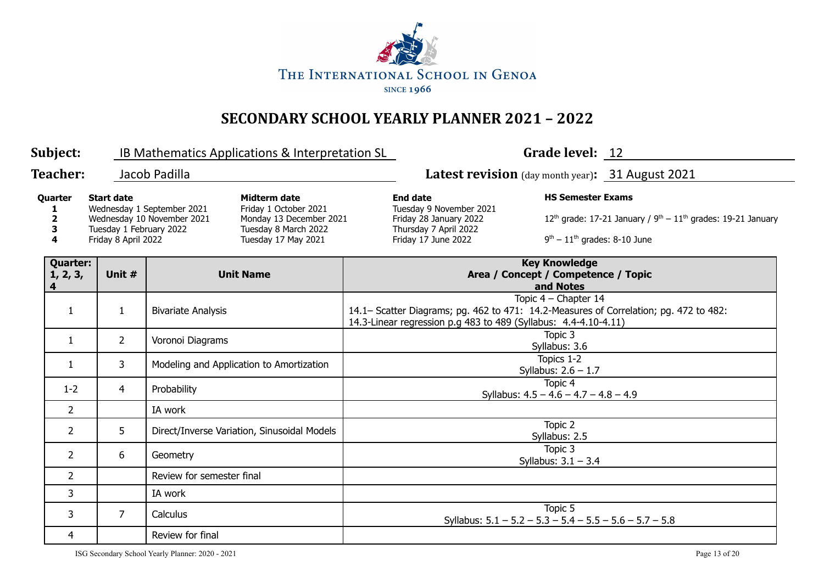

| Subject:                            |                                                                     |                                                          | IB Mathematics Applications & Interpretation SL                                                                                                                                  |                                                    |                                                                                                                      | Grade level: 12                                                          |                                                                                  |  |
|-------------------------------------|---------------------------------------------------------------------|----------------------------------------------------------|----------------------------------------------------------------------------------------------------------------------------------------------------------------------------------|----------------------------------------------------|----------------------------------------------------------------------------------------------------------------------|--------------------------------------------------------------------------|----------------------------------------------------------------------------------|--|
| <b>Teacher:</b>                     |                                                                     | Jacob Padilla                                            |                                                                                                                                                                                  |                                                    | <b>Latest revision</b> (day month year): 31 August 2021                                                              |                                                                          |                                                                                  |  |
| Quarter<br>1<br>4                   | <b>Start date</b><br>Tuesday 1 February 2022<br>Friday 8 April 2022 | Wednesday 1 September 2021<br>Wednesday 10 November 2021 | Midterm date<br>Friday 1 October 2021<br>Monday 13 December 2021<br>Tuesday 8 March 2022<br>Tuesday 17 May 2021                                                                  |                                                    | <b>End date</b><br>Tuesday 9 November 2021<br>Friday 28 January 2022<br>Thursday 7 April 2022<br>Friday 17 June 2022 | <b>HS Semester Exams</b><br>$9th - 11th$ grades: 8-10 June               | 12 <sup>th</sup> grade: 17-21 January / $9^{th} - 11^{th}$ grades: 19-21 January |  |
| <b>Quarter:</b><br>1, 2, 3,<br>4    | Unit #                                                              |                                                          | <b>Unit Name</b>                                                                                                                                                                 |                                                    |                                                                                                                      | <b>Key Knowledge</b><br>Area / Concept / Competence / Topic<br>and Notes |                                                                                  |  |
| <b>Bivariate Analysis</b><br>1<br>1 |                                                                     |                                                          | Topic 4 - Chapter 14<br>14.1– Scatter Diagrams; pg. 462 to 471: 14.2-Measures of Correlation; pg. 472 to 482:<br>14.3-Linear regression p.g 483 to 489 (Syllabus: 4.4-4.10-4.11) |                                                    |                                                                                                                      |                                                                          |                                                                                  |  |
| $\mathbf{1}$                        | $\overline{2}$                                                      | Voronoi Diagrams                                         |                                                                                                                                                                                  | Topic 3<br>Syllabus: 3.6                           |                                                                                                                      |                                                                          |                                                                                  |  |
| 1                                   | 3                                                                   | Modeling and Application to Amortization                 |                                                                                                                                                                                  |                                                    | Topics 1-2<br>Syllabus: $2.6 - 1.7$                                                                                  |                                                                          |                                                                                  |  |
| $1 - 2$                             | 4                                                                   | Probability                                              |                                                                                                                                                                                  | Topic 4<br>Syllabus: $4.5 - 4.6 - 4.7 - 4.8 - 4.9$ |                                                                                                                      |                                                                          |                                                                                  |  |
| $\overline{2}$                      |                                                                     | IA work                                                  |                                                                                                                                                                                  |                                                    |                                                                                                                      |                                                                          |                                                                                  |  |
| $\overline{2}$                      | 5                                                                   |                                                          | Direct/Inverse Variation, Sinusoidal Models                                                                                                                                      |                                                    |                                                                                                                      | Topic 2<br>Syllabus: 2.5                                                 |                                                                                  |  |
| $\overline{2}$<br>6<br>Geometry     |                                                                     | Topic 3<br>Syllabus: $3.1 - 3.4$                         |                                                                                                                                                                                  |                                                    |                                                                                                                      |                                                                          |                                                                                  |  |
| $\overline{2}$                      |                                                                     | Review for semester final                                |                                                                                                                                                                                  |                                                    |                                                                                                                      |                                                                          |                                                                                  |  |
| 3                                   |                                                                     | IA work                                                  |                                                                                                                                                                                  |                                                    |                                                                                                                      |                                                                          |                                                                                  |  |
| 3                                   | $\overline{7}$                                                      | Calculus                                                 |                                                                                                                                                                                  |                                                    |                                                                                                                      | Topic 5<br>Syllabus: $5.1 - 5.2 - 5.3 - 5.4 - 5.5 - 5.6 - 5.7 - 5.8$     |                                                                                  |  |
| 4                                   |                                                                     | Review for final                                         |                                                                                                                                                                                  |                                                    |                                                                                                                      |                                                                          |                                                                                  |  |

ISG Secondary School Yearly Planner: 2020 - 2021 Page 13 of 20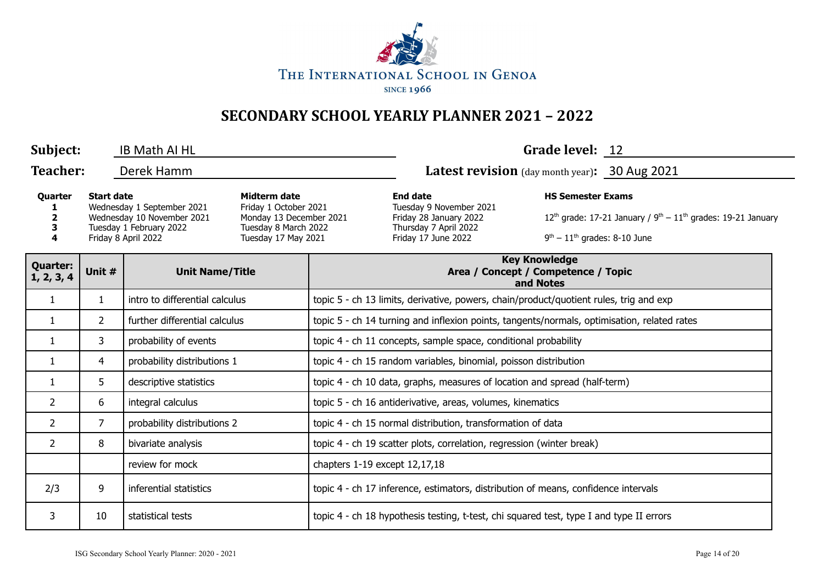

| Subject:                                                          |                                                                                                                                                                                                                                                    | IB Math AI HL                  |                                                                          |                                                                                                                                                                                    |  | Grade level: 12                                                                  |  |  |
|-------------------------------------------------------------------|----------------------------------------------------------------------------------------------------------------------------------------------------------------------------------------------------------------------------------------------------|--------------------------------|--------------------------------------------------------------------------|------------------------------------------------------------------------------------------------------------------------------------------------------------------------------------|--|----------------------------------------------------------------------------------|--|--|
| <b>Teacher:</b>                                                   | Derek Hamm                                                                                                                                                                                                                                         |                                |                                                                          | <b>Latest revision</b> (day month year): 30 Aug 2021                                                                                                                               |  |                                                                                  |  |  |
| Quarter<br>4                                                      | <b>Start date</b><br>Midterm date<br>Friday 1 October 2021<br>Wednesday 1 September 2021<br>Wednesday 10 November 2021<br>Monday 13 December 2021<br>Tuesday 1 February 2022<br>Tuesday 8 March 2022<br>Friday 8 April 2022<br>Tuesday 17 May 2021 |                                |                                                                          | <b>HS Semester Exams</b><br><b>End date</b><br>Tuesday 9 November 2021<br>Friday 28 January 2022<br>Thursday 7 April 2022<br>Friday 17 June 2022<br>$9th - 11th$ grades: 8-10 June |  | 12 <sup>th</sup> grade: 17-21 January / $9^{th} - 11^{th}$ grades: 19-21 January |  |  |
| <b>Quarter:</b><br>Unit #<br><b>Unit Name/Title</b><br>1, 2, 3, 4 |                                                                                                                                                                                                                                                    |                                | <b>Key Knowledge</b><br>Area / Concept / Competence / Topic<br>and Notes |                                                                                                                                                                                    |  |                                                                                  |  |  |
| $\mathbf{1}$                                                      | $\mathbf{1}$                                                                                                                                                                                                                                       | intro to differential calculus |                                                                          | topic 5 - ch 13 limits, derivative, powers, chain/product/quotient rules, trig and exp                                                                                             |  |                                                                                  |  |  |
| $\mathbf{1}$                                                      | $\overline{2}$                                                                                                                                                                                                                                     | further differential calculus  |                                                                          | topic 5 - ch 14 turning and inflexion points, tangents/normals, optimisation, related rates                                                                                        |  |                                                                                  |  |  |
| $\mathbf{1}$                                                      | 3                                                                                                                                                                                                                                                  | probability of events          |                                                                          | topic 4 - ch 11 concepts, sample space, conditional probability                                                                                                                    |  |                                                                                  |  |  |
| $\mathbf{1}$                                                      | 4                                                                                                                                                                                                                                                  | probability distributions 1    |                                                                          | topic 4 - ch 15 random variables, binomial, poisson distribution                                                                                                                   |  |                                                                                  |  |  |
| 1                                                                 | 5                                                                                                                                                                                                                                                  | descriptive statistics         |                                                                          | topic 4 - ch 10 data, graphs, measures of location and spread (half-term)                                                                                                          |  |                                                                                  |  |  |
| 2                                                                 | 6                                                                                                                                                                                                                                                  | integral calculus              |                                                                          | topic 5 - ch 16 antiderivative, areas, volumes, kinematics                                                                                                                         |  |                                                                                  |  |  |
| 2                                                                 | 7                                                                                                                                                                                                                                                  | probability distributions 2    |                                                                          | topic 4 - ch 15 normal distribution, transformation of data                                                                                                                        |  |                                                                                  |  |  |
| $\mathbf{2}^{\prime}$                                             | 8                                                                                                                                                                                                                                                  | bivariate analysis             |                                                                          | topic 4 - ch 19 scatter plots, correlation, regression (winter break)                                                                                                              |  |                                                                                  |  |  |
|                                                                   |                                                                                                                                                                                                                                                    | review for mock                | chapters 1-19 except 12,17,18                                            |                                                                                                                                                                                    |  |                                                                                  |  |  |
| 2/3                                                               | 9                                                                                                                                                                                                                                                  | inferential statistics         |                                                                          | topic 4 - ch 17 inference, estimators, distribution of means, confidence intervals                                                                                                 |  |                                                                                  |  |  |
| 3                                                                 | 10                                                                                                                                                                                                                                                 | statistical tests              |                                                                          | topic 4 - ch 18 hypothesis testing, t-test, chi squared test, type I and type II errors                                                                                            |  |                                                                                  |  |  |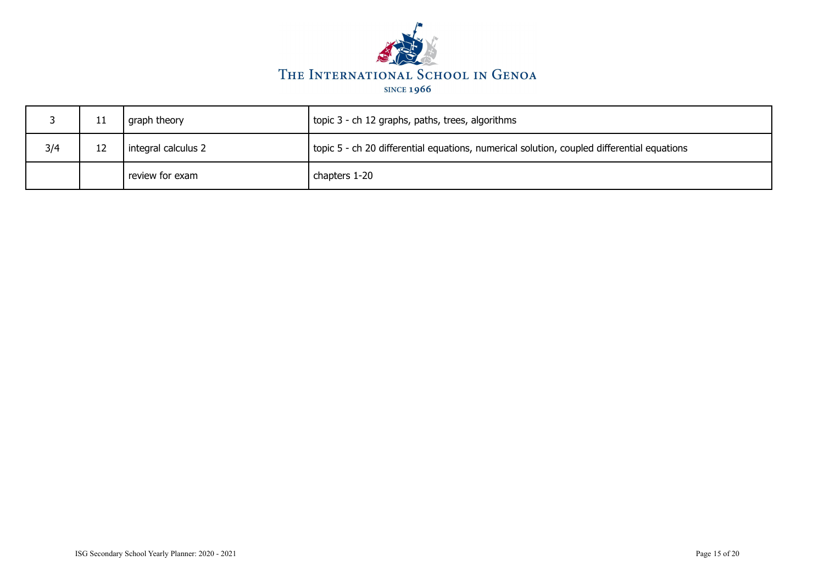

|     | 11                        | graph theory    | topic 3 - ch 12 graphs, paths, trees, algorithms                                           |  |  |
|-----|---------------------------|-----------------|--------------------------------------------------------------------------------------------|--|--|
| 3/4 | 12<br>integral calculus 2 |                 | topic 5 - ch 20 differential equations, numerical solution, coupled differential equations |  |  |
|     |                           | review for exam | chapters 1-20                                                                              |  |  |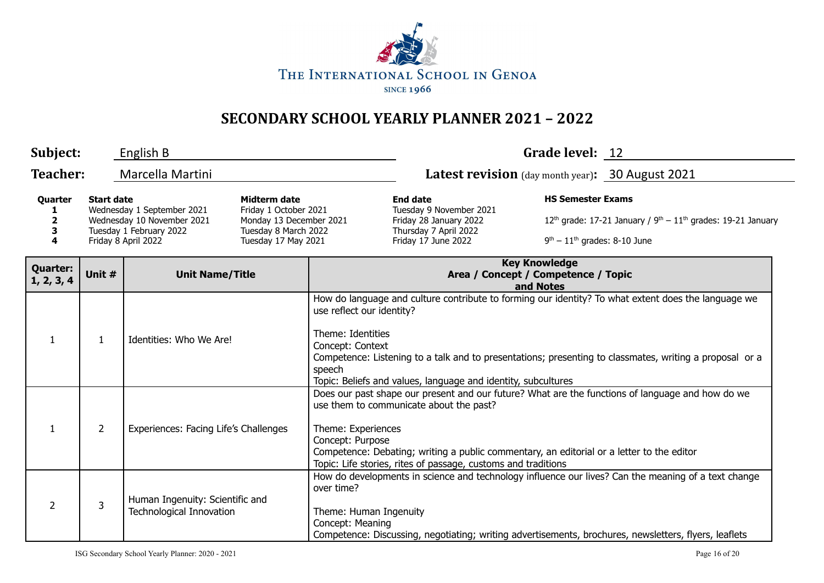

| Subject:                                                          | English B                                                                                                                                                                                                                                          |                                                                                 |  |                                                                                                                      | Grade level: 12                                                                                                                                                                                                                                                                                              |                                                                           |                                                                                                                                                                                                              |  |
|-------------------------------------------------------------------|----------------------------------------------------------------------------------------------------------------------------------------------------------------------------------------------------------------------------------------------------|---------------------------------------------------------------------------------|--|----------------------------------------------------------------------------------------------------------------------|--------------------------------------------------------------------------------------------------------------------------------------------------------------------------------------------------------------------------------------------------------------------------------------------------------------|---------------------------------------------------------------------------|--------------------------------------------------------------------------------------------------------------------------------------------------------------------------------------------------------------|--|
| <b>Teacher:</b>                                                   |                                                                                                                                                                                                                                                    | Marcella Martini                                                                |  |                                                                                                                      | Latest revision (day month year): 30 August 2021                                                                                                                                                                                                                                                             |                                                                           |                                                                                                                                                                                                              |  |
| Quarter<br>1<br>$\overline{2}$<br>3<br>4                          | <b>Start date</b><br>Midterm date<br>Wednesday 1 September 2021<br>Friday 1 October 2021<br>Wednesday 10 November 2021<br>Monday 13 December 2021<br>Tuesday 1 February 2022<br>Tuesday 8 March 2022<br>Tuesday 17 May 2021<br>Friday 8 April 2022 |                                                                                 |  | <b>End date</b><br>Tuesday 9 November 2021<br>Friday 28 January 2022<br>Thursday 7 April 2022<br>Friday 17 June 2022 | <b>HS Semester Exams</b><br>$9th - 11th$ grades: 8-10 June                                                                                                                                                                                                                                                   | $12^{th}$ grade: 17-21 January / $9^{th} - 11^{th}$ grades: 19-21 January |                                                                                                                                                                                                              |  |
| <b>Quarter:</b><br>Unit #<br><b>Unit Name/Title</b><br>1, 2, 3, 4 |                                                                                                                                                                                                                                                    |                                                                                 |  | <b>Key Knowledge</b><br>Area / Concept / Competence / Topic<br>and Notes                                             |                                                                                                                                                                                                                                                                                                              |                                                                           |                                                                                                                                                                                                              |  |
| $\mathbf{1}$                                                      | $\mathbf{1}$                                                                                                                                                                                                                                       | Theme: Identities<br>Identities: Who We Are!<br>Concept: Context<br>speech      |  |                                                                                                                      | How do language and culture contribute to forming our identity? To what extent does the language we<br>use reflect our identity?<br>Competence: Listening to a talk and to presentations; presenting to classmates, writing a proposal or a<br>Topic: Beliefs and values, language and identity, subcultures |                                                                           |                                                                                                                                                                                                              |  |
| $\mathbf{1}$                                                      | $\overline{2}$                                                                                                                                                                                                                                     | Experiences: Facing Life's Challenges<br>Theme: Experiences<br>Concept: Purpose |  |                                                                                                                      | use them to communicate about the past?<br>Competence: Debating; writing a public commentary, an editorial or a letter to the editor<br>Topic: Life stories, rites of passage, customs and traditions                                                                                                        |                                                                           | Does our past shape our present and our future? What are the functions of language and how do we                                                                                                             |  |
| 2                                                                 | $\overline{3}$                                                                                                                                                                                                                                     | Human Ingenuity: Scientific and<br>Technological Innovation                     |  | over time?<br>Theme: Human Ingenuity<br>Concept: Meaning                                                             |                                                                                                                                                                                                                                                                                                              |                                                                           | How do developments in science and technology influence our lives? Can the meaning of a text change<br>Competence: Discussing, negotiating; writing advertisements, brochures, newsletters, flyers, leaflets |  |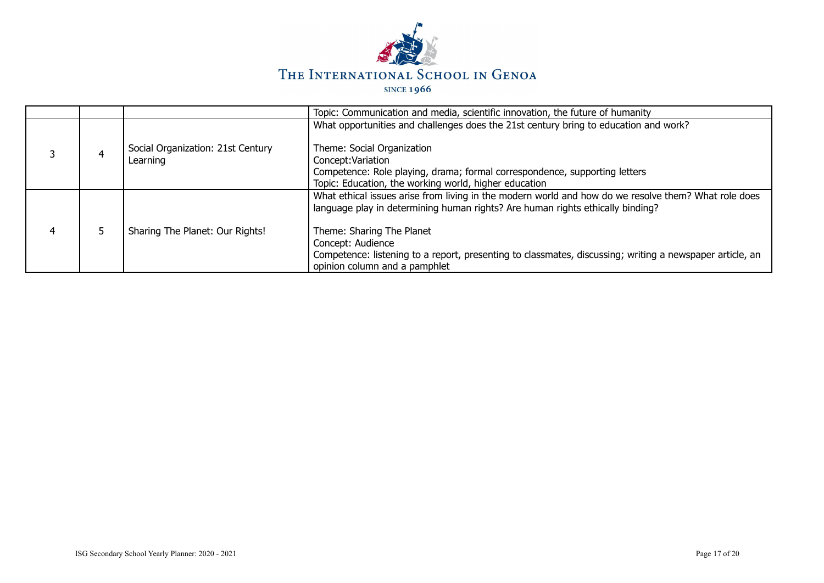

|   |                                               | Topic: Communication and media, scientific innovation, the future of humanity                                                                                                                                                                                                                                                                                                         |
|---|-----------------------------------------------|---------------------------------------------------------------------------------------------------------------------------------------------------------------------------------------------------------------------------------------------------------------------------------------------------------------------------------------------------------------------------------------|
| 4 | Social Organization: 21st Century<br>Learning | What opportunities and challenges does the 21st century bring to education and work?<br>Theme: Social Organization<br>Concept: Variation<br>Competence: Role playing, drama; formal correspondence, supporting letters<br>Topic: Education, the working world, higher education                                                                                                       |
|   | Sharing The Planet: Our Rights!               | What ethical issues arise from living in the modern world and how do we resolve them? What role does<br>language play in determining human rights? Are human rights ethically binding?<br>Theme: Sharing The Planet<br>Concept: Audience<br>Competence: listening to a report, presenting to classmates, discussing; writing a newspaper article, an<br>opinion column and a pamphlet |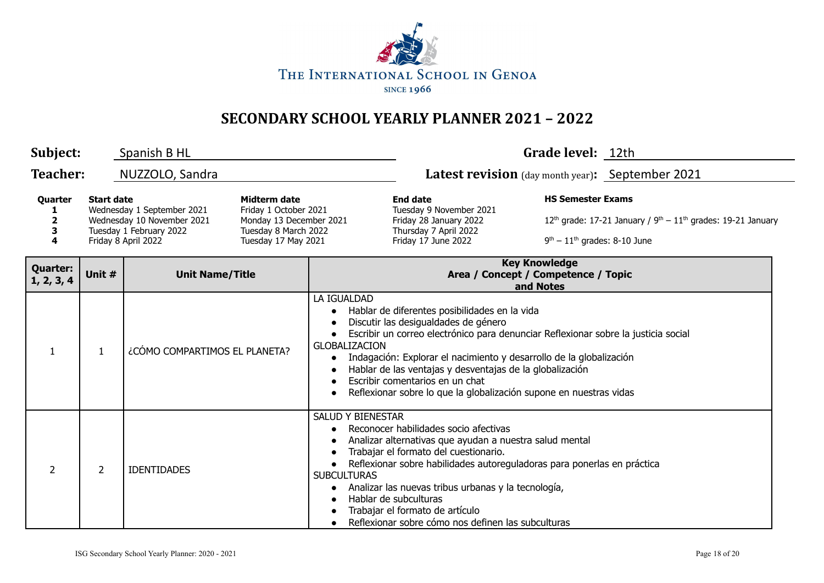

| Subject:                      |                                                                                                                                 | Spanish B HL                                                                      |                                                                                                                 |                                                                                                                                                                                                                                                                                                                                                                                               | Grade level: 12th                                                                                                                                                                                                                                                                                                                                                                                                       |                                                            |                                                                  |
|-------------------------------|---------------------------------------------------------------------------------------------------------------------------------|-----------------------------------------------------------------------------------|-----------------------------------------------------------------------------------------------------------------|-----------------------------------------------------------------------------------------------------------------------------------------------------------------------------------------------------------------------------------------------------------------------------------------------------------------------------------------------------------------------------------------------|-------------------------------------------------------------------------------------------------------------------------------------------------------------------------------------------------------------------------------------------------------------------------------------------------------------------------------------------------------------------------------------------------------------------------|------------------------------------------------------------|------------------------------------------------------------------|
| <b>Teacher:</b>               |                                                                                                                                 | NUZZOLO, Sandra                                                                   |                                                                                                                 |                                                                                                                                                                                                                                                                                                                                                                                               | Latest revision (day month year): September 2021                                                                                                                                                                                                                                                                                                                                                                        |                                                            |                                                                  |
| Quarter<br>2<br>3<br>4        | <b>Start date</b><br>Wednesday 1 September 2021<br>Wednesday 10 November 2021<br>Tuesday 1 February 2022<br>Friday 8 April 2022 |                                                                                   | Midterm date<br>Friday 1 October 2021<br>Monday 13 December 2021<br>Tuesday 8 March 2022<br>Tuesday 17 May 2021 |                                                                                                                                                                                                                                                                                                                                                                                               | <b>End date</b><br>Tuesday 9 November 2021<br>Friday 28 January 2022<br>Thursday 7 April 2022<br>Friday 17 June 2022                                                                                                                                                                                                                                                                                                    | <b>HS Semester Exams</b><br>$9th - 11th$ grades: 8-10 June | $12th$ grade: 17-21 January / $9th - 11th$ grades: 19-21 January |
| <b>Quarter:</b><br>1, 2, 3, 4 | Unit #<br><b>Unit Name/Title</b>                                                                                                |                                                                                   |                                                                                                                 |                                                                                                                                                                                                                                                                                                                                                                                               | <b>Key Knowledge</b><br>Area / Concept / Competence / Topic<br>and Notes                                                                                                                                                                                                                                                                                                                                                |                                                            |                                                                  |
| -1                            | $\mathbf{1}$                                                                                                                    | LA IGUALDAD<br><b>GLOBALIZACION</b><br>¿CÓMO COMPARTIMOS EL PLANETA?<br>$\bullet$ |                                                                                                                 |                                                                                                                                                                                                                                                                                                                                                                                               | Hablar de diferentes posibilidades en la vida<br>Discutir las desigualdades de género<br>Escribir un correo electrónico para denunciar Reflexionar sobre la justicia social<br>Indagación: Explorar el nacimiento y desarrollo de la globalización<br>Hablar de las ventajas y desventajas de la globalización<br>Escribir comentarios en un chat<br>Reflexionar sobre lo que la globalización supone en nuestras vidas |                                                            |                                                                  |
| 2                             | $\overline{2}$                                                                                                                  | <b>SALUD Y BIENESTAR</b><br><b>IDENTIDADES</b><br><b>SUBCULTURAS</b><br>$\bullet$ |                                                                                                                 | Reconocer habilidades socio afectivas<br>Analizar alternativas que ayudan a nuestra salud mental<br>Trabajar el formato del cuestionario.<br>Reflexionar sobre habilidades autoreguladoras para ponerlas en práctica<br>Analizar las nuevas tribus urbanas y la tecnología,<br>Hablar de subculturas<br>Trabajar el formato de artículo<br>Reflexionar sobre cómo nos definen las subculturas |                                                                                                                                                                                                                                                                                                                                                                                                                         |                                                            |                                                                  |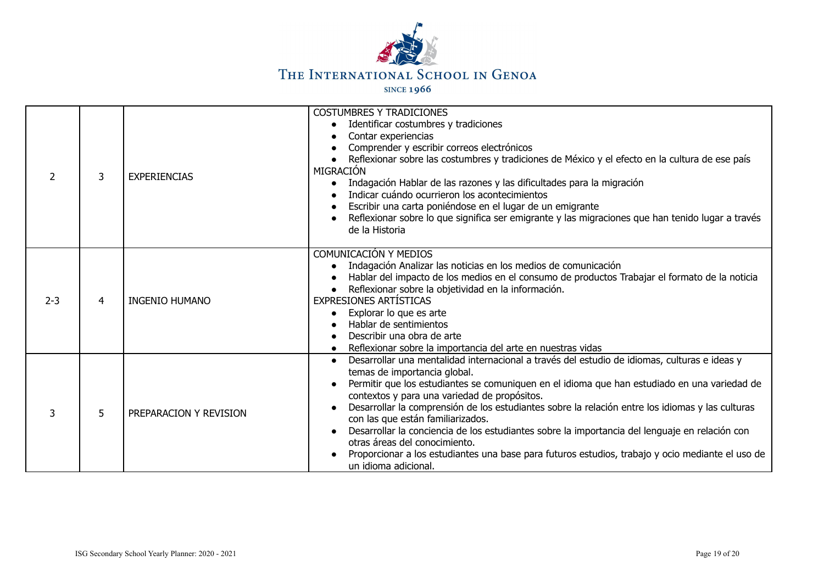

| 2       | 3 | <b>EXPERIENCIAS</b>    | <b>COSTUMBRES Y TRADICIONES</b><br>Identificar costumbres y tradiciones<br>Contar experiencias<br>Comprender y escribir correos electrónicos<br>Reflexionar sobre las costumbres y tradiciones de México y el efecto en la cultura de ese país<br>MIGRACIÓN<br>Indagación Hablar de las razones y las dificultades para la migración<br>Indicar cuándo ocurrieron los acontecimientos<br>Escribir una carta poniéndose en el lugar de un emigrante<br>Reflexionar sobre lo que significa ser emigrante y las migraciones que han tenido lugar a través<br>de la Historia                                                                                                                          |
|---------|---|------------------------|---------------------------------------------------------------------------------------------------------------------------------------------------------------------------------------------------------------------------------------------------------------------------------------------------------------------------------------------------------------------------------------------------------------------------------------------------------------------------------------------------------------------------------------------------------------------------------------------------------------------------------------------------------------------------------------------------|
| $2 - 3$ | 4 | <b>INGENIO HUMANO</b>  | COMUNICACIÓN Y MEDIOS<br>Indagación Analizar las noticias en los medios de comunicación<br>Hablar del impacto de los medios en el consumo de productos Trabajar el formato de la noticia<br>Reflexionar sobre la objetividad en la información.<br>EXPRESIONES ARTÍSTICAS<br>Explorar lo que es arte<br>Hablar de sentimientos<br>Describir una obra de arte<br>Reflexionar sobre la importancia del arte en nuestras vidas                                                                                                                                                                                                                                                                       |
| 3       | 5 | PREPARACION Y REVISION | Desarrollar una mentalidad internacional a través del estudio de idiomas, culturas e ideas y<br>$\bullet$<br>temas de importancia global.<br>Permitir que los estudiantes se comuniquen en el idioma que han estudiado en una variedad de<br>contextos y para una variedad de propósitos.<br>Desarrollar la comprensión de los estudiantes sobre la relación entre los idiomas y las culturas<br>con las que están familiarizados.<br>Desarrollar la conciencia de los estudiantes sobre la importancia del lenguaje en relación con<br>otras áreas del conocimiento.<br>Proporcionar a los estudiantes una base para futuros estudios, trabajo y ocio mediante el uso de<br>un idioma adicional. |